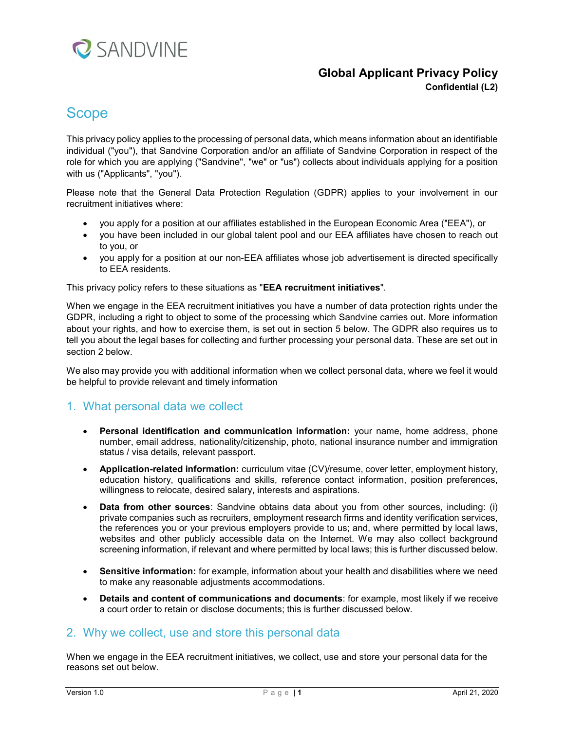

Confidential (L2)

# Scope

This privacy policy applies to the processing of personal data, which means information about an identifiable individual ("you"), that Sandvine Corporation and/or an affiliate of Sandvine Corporation in respect of the role for which you are applying ("Sandvine", "we" or "us") collects about individuals applying for a position with us ("Applicants", "you").

Please note that the General Data Protection Regulation (GDPR) applies to your involvement in our recruitment initiatives where:

- you apply for a position at our affiliates established in the European Economic Area ("EEA"), or
- you have been included in our global talent pool and our EEA affiliates have chosen to reach out to you, or
- you apply for a position at our non-EEA affiliates whose job advertisement is directed specifically to EEA residents.

This privacy policy refers to these situations as "EEA recruitment initiatives".

When we engage in the EEA recruitment initiatives you have a number of data protection rights under the GDPR, including a right to object to some of the processing which Sandvine carries out. More information about your rights, and how to exercise them, is set out in section 5 below. The GDPR also requires us to tell you about the legal bases for collecting and further processing your personal data. These are set out in section 2 below.

We also may provide you with additional information when we collect personal data, where we feel it would be helpful to provide relevant and timely information

## 1. What personal data we collect

- Personal identification and communication information: your name, home address, phone number, email address, nationality/citizenship, photo, national insurance number and immigration status / visa details, relevant passport.
- Application-related information: curriculum vitae (CV)/resume, cover letter, employment history, education history, qualifications and skills, reference contact information, position preferences, willingness to relocate, desired salary, interests and aspirations.
- Data from other sources: Sandvine obtains data about you from other sources, including: (i) private companies such as recruiters, employment research firms and identity verification services, the references you or your previous employers provide to us; and, where permitted by local laws, websites and other publicly accessible data on the Internet. We may also collect background screening information, if relevant and where permitted by local laws; this is further discussed below.
- Sensitive information: for example, information about your health and disabilities where we need to make any reasonable adjustments accommodations.
- Details and content of communications and documents: for example, most likely if we receive a court order to retain or disclose documents; this is further discussed below.

## 2. Why we collect, use and store this personal data

When we engage in the EEA recruitment initiatives, we collect, use and store your personal data for the reasons set out below.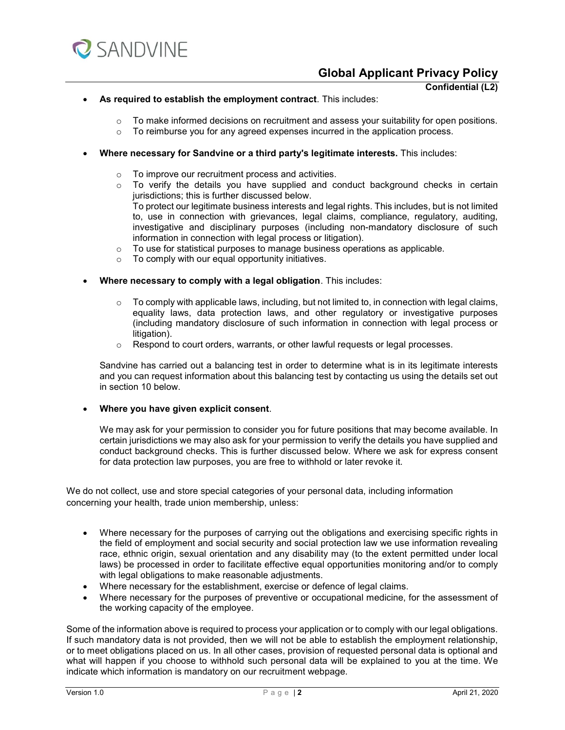

Confidential (L2)

#### As required to establish the employment contract. This includes:

- $\circ$  To make informed decisions on recruitment and assess your suitability for open positions.
- $\circ$  To reimburse you for any agreed expenses incurred in the application process.

#### Where necessary for Sandvine or a third party's legitimate interests. This includes:

- o To improve our recruitment process and activities.
- o To verify the details you have supplied and conduct background checks in certain jurisdictions; this is further discussed below.

To protect our legitimate business interests and legal rights. This includes, but is not limited to, use in connection with grievances, legal claims, compliance, regulatory, auditing, investigative and disciplinary purposes (including non-mandatory disclosure of such information in connection with legal process or litigation).

- $\circ$  To use for statistical purposes to manage business operations as applicable.
- $\circ$  To comply with our equal opportunity initiatives.
- Where necessary to comply with a legal obligation. This includes:
	- $\circ$  To comply with applicable laws, including, but not limited to, in connection with legal claims, equality laws, data protection laws, and other regulatory or investigative purposes (including mandatory disclosure of such information in connection with legal process or litigation).
	- o Respond to court orders, warrants, or other lawful requests or legal processes.

Sandvine has carried out a balancing test in order to determine what is in its legitimate interests and you can request information about this balancing test by contacting us using the details set out in section 10 below.

Where you have given explicit consent.

We may ask for your permission to consider you for future positions that may become available. In certain jurisdictions we may also ask for your permission to verify the details you have supplied and conduct background checks. This is further discussed below. Where we ask for express consent for data protection law purposes, you are free to withhold or later revoke it.

We do not collect, use and store special categories of your personal data, including information concerning your health, trade union membership, unless:

- Where necessary for the purposes of carrying out the obligations and exercising specific rights in the field of employment and social security and social protection law we use information revealing race, ethnic origin, sexual orientation and any disability may (to the extent permitted under local laws) be processed in order to facilitate effective equal opportunities monitoring and/or to comply with legal obligations to make reasonable adjustments.
- Where necessary for the establishment, exercise or defence of legal claims.
- Where necessary for the purposes of preventive or occupational medicine, for the assessment of the working capacity of the employee.

Some of the information above is required to process your application or to comply with our legal obligations. If such mandatory data is not provided, then we will not be able to establish the employment relationship, or to meet obligations placed on us. In all other cases, provision of requested personal data is optional and what will happen if you choose to withhold such personal data will be explained to you at the time. We indicate which information is mandatory on our recruitment webpage.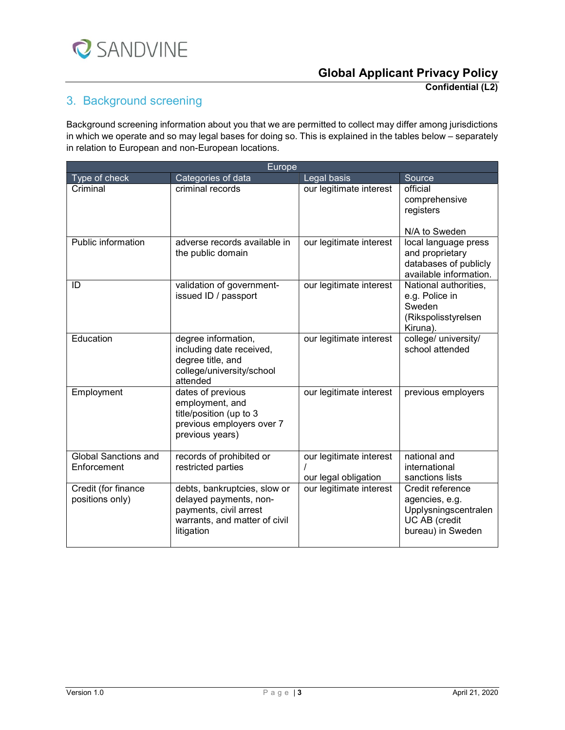

#### Confidential (L2)

## 3. Background screening

Background screening information about you that we are permitted to collect may differ among jurisdictions in which we operate and so may legal bases for doing so. This is explained in the tables below – separately in relation to European and non-European locations.

| Europe                                     |                                                                                                                                 |                                                 |                                                                                                  |  |
|--------------------------------------------|---------------------------------------------------------------------------------------------------------------------------------|-------------------------------------------------|--------------------------------------------------------------------------------------------------|--|
| Type of check                              | Categories of data                                                                                                              | Legal basis                                     | Source                                                                                           |  |
| Criminal                                   | criminal records                                                                                                                | our legitimate interest                         | official<br>comprehensive<br>registers<br>N/A to Sweden                                          |  |
| Public information                         | adverse records available in<br>the public domain                                                                               | our legitimate interest                         | local language press<br>and proprietary<br>databases of publicly<br>available information.       |  |
| ID                                         | validation of government-<br>issued ID / passport                                                                               | our legitimate interest                         | National authorities,<br>e.g. Police in<br>Sweden<br>(Rikspolisstyrelsen<br>Kiruna).             |  |
| Education                                  | degree information,<br>including date received,<br>degree title, and<br>college/university/school<br>attended                   | our legitimate interest                         | college/ university/<br>school attended                                                          |  |
| Employment                                 | dates of previous<br>employment, and<br>title/position (up to 3<br>previous employers over 7<br>previous years)                 | our legitimate interest                         | previous employers                                                                               |  |
| <b>Global Sanctions and</b><br>Enforcement | records of prohibited or<br>restricted parties                                                                                  | our legitimate interest<br>our legal obligation | national and<br>international<br>sanctions lists                                                 |  |
| Credit (for finance<br>positions only)     | debts, bankruptcies, slow or<br>delayed payments, non-<br>payments, civil arrest<br>warrants, and matter of civil<br>litigation | our legitimate interest                         | Credit reference<br>agencies, e.g.<br>Upplysningscentralen<br>UC AB (credit<br>bureau) in Sweden |  |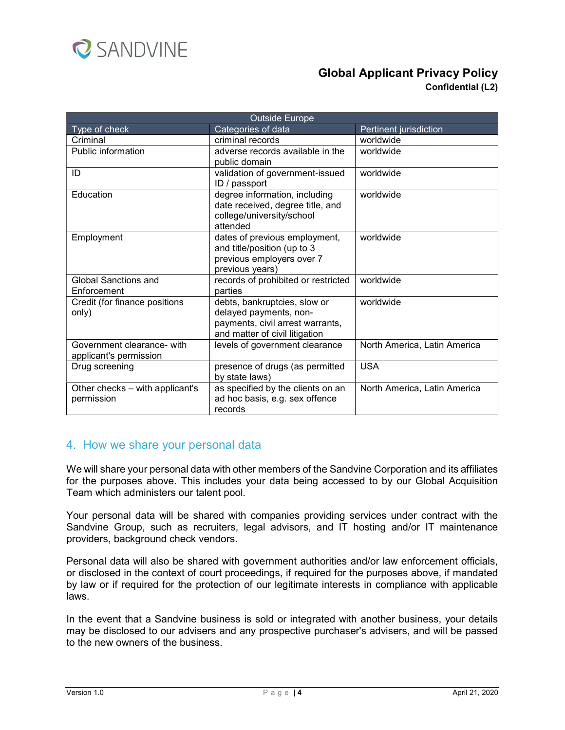

Confidential (L2)

| <b>Outside Europe</b>                               |                                                                                                                              |                              |  |  |
|-----------------------------------------------------|------------------------------------------------------------------------------------------------------------------------------|------------------------------|--|--|
| Type of check                                       | Categories of data                                                                                                           | Pertinent jurisdiction       |  |  |
| Criminal                                            | criminal records                                                                                                             | worldwide                    |  |  |
| <b>Public information</b>                           | adverse records available in the<br>public domain                                                                            | worldwide                    |  |  |
| ID                                                  | validation of government-issued<br>ID / passport                                                                             | worldwide                    |  |  |
| Education                                           | degree information, including<br>date received, degree title, and<br>college/university/school<br>attended                   | worldwide                    |  |  |
| Employment                                          | dates of previous employment,<br>and title/position (up to 3<br>previous employers over 7<br>previous years)                 | worldwide                    |  |  |
| <b>Global Sanctions and</b><br>Enforcement          | records of prohibited or restricted<br>parties                                                                               | worldwide                    |  |  |
| Credit (for finance positions<br>only)              | debts, bankruptcies, slow or<br>delayed payments, non-<br>payments, civil arrest warrants,<br>and matter of civil litigation | worldwide                    |  |  |
| Government clearance-with<br>applicant's permission | levels of government clearance                                                                                               | North America, Latin America |  |  |
| Drug screening                                      | presence of drugs (as permitted<br>by state laws)                                                                            | <b>USA</b>                   |  |  |
| Other checks – with applicant's<br>permission       | as specified by the clients on an<br>ad hoc basis, e.g. sex offence<br>records                                               | North America, Latin America |  |  |

## 4. How we share your personal data

We will share your personal data with other members of the Sandvine Corporation and its affiliates for the purposes above. This includes your data being accessed to by our Global Acquisition Team which administers our talent pool.

Your personal data will be shared with companies providing services under contract with the Sandvine Group, such as recruiters, legal advisors, and IT hosting and/or IT maintenance providers, background check vendors.

Personal data will also be shared with government authorities and/or law enforcement officials, or disclosed in the context of court proceedings, if required for the purposes above, if mandated by law or if required for the protection of our legitimate interests in compliance with applicable laws.

In the event that a Sandvine business is sold or integrated with another business, your details may be disclosed to our advisers and any prospective purchaser's advisers, and will be passed to the new owners of the business.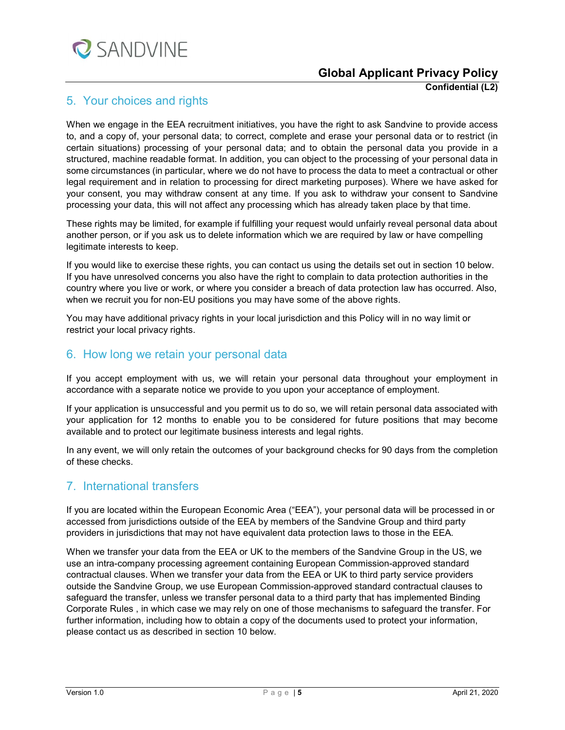

Confidential (L2)

## 5. Your choices and rights

When we engage in the EEA recruitment initiatives, you have the right to ask Sandvine to provide access to, and a copy of, your personal data; to correct, complete and erase your personal data or to restrict (in certain situations) processing of your personal data; and to obtain the personal data you provide in a structured, machine readable format. In addition, you can object to the processing of your personal data in some circumstances (in particular, where we do not have to process the data to meet a contractual or other legal requirement and in relation to processing for direct marketing purposes). Where we have asked for your consent, you may withdraw consent at any time. If you ask to withdraw your consent to Sandvine processing your data, this will not affect any processing which has already taken place by that time.

These rights may be limited, for example if fulfilling your request would unfairly reveal personal data about another person, or if you ask us to delete information which we are required by law or have compelling legitimate interests to keep.

If you would like to exercise these rights, you can contact us using the details set out in section 10 below. If you have unresolved concerns you also have the right to complain to data protection authorities in the country where you live or work, or where you consider a breach of data protection law has occurred. Also, when we recruit you for non-EU positions you may have some of the above rights.

You may have additional privacy rights in your local jurisdiction and this Policy will in no way limit or restrict your local privacy rights.

## 6. How long we retain your personal data

If you accept employment with us, we will retain your personal data throughout your employment in accordance with a separate notice we provide to you upon your acceptance of employment.

If your application is unsuccessful and you permit us to do so, we will retain personal data associated with your application for 12 months to enable you to be considered for future positions that may become available and to protect our legitimate business interests and legal rights.

In any event, we will only retain the outcomes of your background checks for 90 days from the completion of these checks.

## 7. International transfers

If you are located within the European Economic Area ("EEA"), your personal data will be processed in or accessed from jurisdictions outside of the EEA by members of the Sandvine Group and third party providers in jurisdictions that may not have equivalent data protection laws to those in the EEA.

When we transfer your data from the EEA or UK to the members of the Sandvine Group in the US, we use an intra-company processing agreement containing European Commission-approved standard contractual clauses. When we transfer your data from the EEA or UK to third party service providers outside the Sandvine Group, we use European Commission-approved standard contractual clauses to safeguard the transfer, unless we transfer personal data to a third party that has implemented Binding Corporate Rules , in which case we may rely on one of those mechanisms to safeguard the transfer. For further information, including how to obtain a copy of the documents used to protect your information, please contact us as described in section 10 below.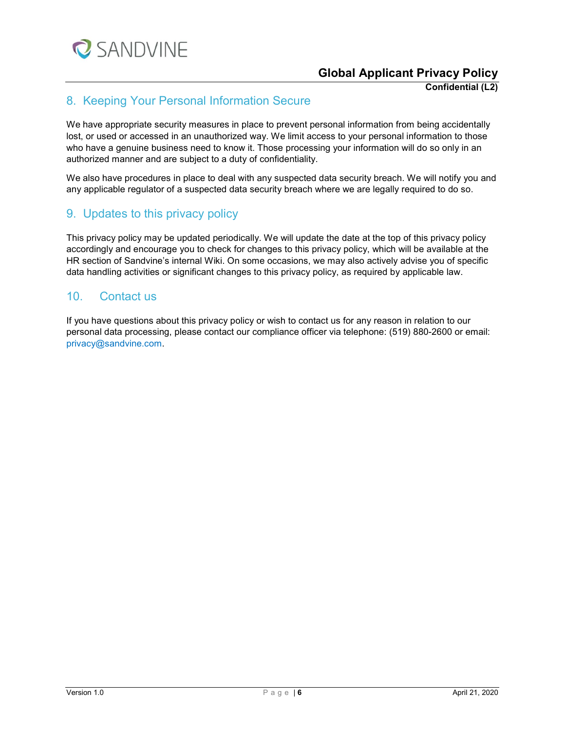

Confidential (L2)

## 8. Keeping Your Personal Information Secure

We have appropriate security measures in place to prevent personal information from being accidentally lost, or used or accessed in an unauthorized way. We limit access to your personal information to those who have a genuine business need to know it. Those processing your information will do so only in an authorized manner and are subject to a duty of confidentiality.

We also have procedures in place to deal with any suspected data security breach. We will notify you and any applicable regulator of a suspected data security breach where we are legally required to do so.

## 9. Updates to this privacy policy

This privacy policy may be updated periodically. We will update the date at the top of this privacy policy accordingly and encourage you to check for changes to this privacy policy, which will be available at the HR section of Sandvine's internal Wiki. On some occasions, we may also actively advise you of specific data handling activities or significant changes to this privacy policy, as required by applicable law.

## 10. Contact us

If you have questions about this privacy policy or wish to contact us for any reason in relation to our personal data processing, please contact our compliance officer via telephone: (519) 880-2600 or email: privacy@sandvine.com.